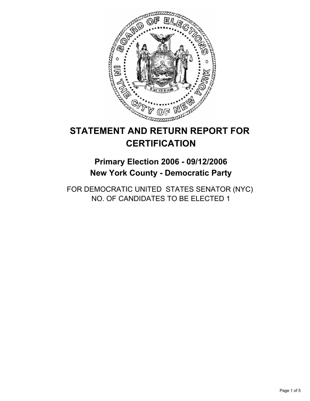

# **STATEMENT AND RETURN REPORT FOR CERTIFICATION**

**Primary Election 2006 - 09/12/2006 New York County - Democratic Party**

FOR DEMOCRATIC UNITED STATES SENATOR (NYC) NO. OF CANDIDATES TO BE ELECTED 1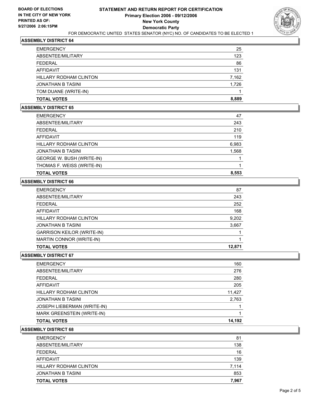

## **ASSEMBLY DISTRICT 64**

| <b>EMERGENCY</b>       | 25    |
|------------------------|-------|
| ABSENTEE/MILITARY      | 123   |
| FEDERAL                | 86    |
| AFFIDAVIT              | 131   |
| HILLARY RODHAM CLINTON | 7,162 |
| JONATHAN B TASINI      | 1,726 |
| TOM DUANE (WRITE-IN)   |       |
| <b>TOTAL VOTES</b>     | 8,889 |

## **ASSEMBLY DISTRICT 65**

| <b>EMERGENCY</b>              | 47    |
|-------------------------------|-------|
| ABSENTEE/MILITARY             | 243   |
| FEDERAL                       | 210   |
| AFFIDAVIT                     | 119   |
| <b>HILLARY RODHAM CLINTON</b> | 6,983 |
| JONATHAN B TASINI             | 1,568 |
| GEORGE W. BUSH (WRITE-IN)     |       |
| THOMAS F. WEISS (WRITE-IN)    |       |
| <b>TOTAL VOTES</b>            | 8,553 |

## **ASSEMBLY DISTRICT 66**

| <b>EMERGENCY</b>                  | 87     |
|-----------------------------------|--------|
| ABSENTEE/MILITARY                 | 243    |
| FEDERAL                           | 252    |
| AFFIDAVIT                         | 168    |
| <b>HILLARY RODHAM CLINTON</b>     | 9,202  |
| <b>JONATHAN B TASINI</b>          | 3,667  |
| <b>GARRISON KEILOR (WRITE-IN)</b> |        |
| MARTIN CONNOR (WRITE-IN)          |        |
| <b>TOTAL VOTES</b>                | 12,871 |

#### **ASSEMBLY DISTRICT 67**

| <b>TOTAL VOTES</b>                 | 14,192 |
|------------------------------------|--------|
| <b>MARK GREENSTEIN (WRITE-IN)</b>  |        |
| <b>JOSEPH LIEBERMAN (WRITE-IN)</b> |        |
| <b>JONATHAN B TASINI</b>           | 2,763  |
| <b>HILLARY RODHAM CLINTON</b>      | 11,427 |
| AFFIDAVIT                          | 205    |
| <b>FEDERAL</b>                     | 280    |
| ABSENTEE/MILITARY                  | 276    |
| <b>EMERGENCY</b>                   | 160    |

#### **ASSEMBLY DISTRICT 68**

| <b>TOTAL VOTES</b>            | 7,967 |
|-------------------------------|-------|
| JONATHAN B TASINI             | 853   |
| <b>HILLARY RODHAM CLINTON</b> | 7,114 |
| AFFIDAVIT                     | 139   |
| FEDERAL                       | 16    |
| ABSENTEE/MILITARY             | 138   |
| <b>EMERGENCY</b>              | 81    |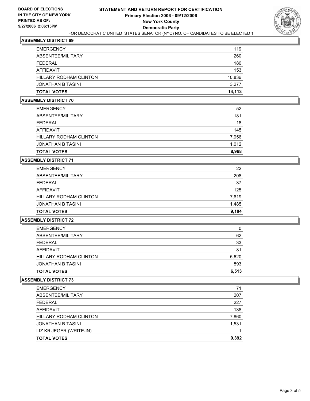

#### **ASSEMBLY DISTRICT 69**

| <b>TOTAL VOTES</b>            | 14,113 |
|-------------------------------|--------|
| JONATHAN B TASINI             | 3,277  |
| <b>HILLARY RODHAM CLINTON</b> | 10,836 |
| AFFIDAVIT                     | 153    |
| FEDERAL                       | 180    |
| ABSENTEE/MILITARY             | 260    |
| <b>EMERGENCY</b>              | 119    |

#### **ASSEMBLY DISTRICT 70**

| <b>EMERGENCY</b>              | 52    |
|-------------------------------|-------|
| ABSENTEE/MILITARY             | 181   |
| <b>FEDERAL</b>                | 18    |
| AFFIDAVIT                     | 145   |
| <b>HILLARY RODHAM CLINTON</b> | 7,956 |
| <b>JONATHAN B TASINI</b>      | 1,012 |
| <b>TOTAL VOTES</b>            | 8,968 |

#### **ASSEMBLY DISTRICT 71**

| <b>TOTAL VOTES</b>            | 9,104 |
|-------------------------------|-------|
| JONATHAN B TASINI             | 1,485 |
| <b>HILLARY RODHAM CLINTON</b> | 7,619 |
| AFFIDAVIT                     | 125   |
| FEDERAL                       | 37    |
| ABSENTEE/MILITARY             | 208   |
| <b>EMERGENCY</b>              | 22    |

## **ASSEMBLY DISTRICT 72**

| <b>TOTAL VOTES</b>     | 6,513 |
|------------------------|-------|
| JONATHAN B TASINI      | 893   |
| HILLARY RODHAM CLINTON | 5,620 |
| AFFIDAVIT              | 81    |
| FFDFRAL                | 33    |
| ABSENTEE/MILITARY      | 62    |
| <b>EMERGENCY</b>       | 0     |

#### **ASSEMBLY DISTRICT 73**

| <b>EMERGENCY</b>              | 71    |
|-------------------------------|-------|
| ABSENTEE/MILITARY             | 207   |
| <b>FEDERAL</b>                | 227   |
| AFFIDAVIT                     | 138   |
| <b>HILLARY RODHAM CLINTON</b> | 7,860 |
| JONATHAN B TASINI             | 1,531 |
| LIZ KRUEGER (WRITE-IN)        |       |
| <b>TOTAL VOTES</b>            | 9,392 |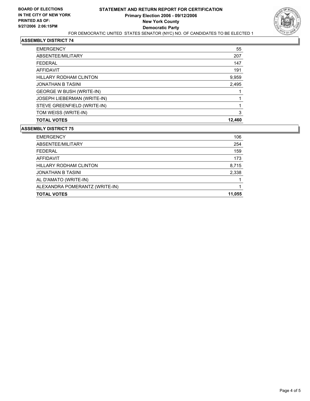

## **ASSEMBLY DISTRICT 74**

| <b>TOTAL VOTES</b>                 | 12,460 |
|------------------------------------|--------|
| TOM WEISS (WRITE-IN)               | 3      |
| STEVE GREENFIELD (WRITE-IN)        |        |
| <b>JOSEPH LIEBERMAN (WRITE-IN)</b> |        |
| GEORGE W BUSH (WRITE-IN)           |        |
| <b>JONATHAN B TASINI</b>           | 2,495  |
| <b>HILLARY RODHAM CLINTON</b>      | 9,959  |
| AFFIDAVIT                          | 191    |
| <b>FEDERAL</b>                     | 147    |
| ABSENTEE/MILITARY                  | 207    |
| <b>EMERGENCY</b>                   | 55     |

#### **ASSEMBLY DISTRICT 75**

| <b>EMERGENCY</b>               | 106    |
|--------------------------------|--------|
| ABSENTEE/MILITARY              | 254    |
| <b>FEDERAL</b>                 | 159    |
| AFFIDAVIT                      | 173    |
| HILLARY RODHAM CLINTON         | 8,715  |
| <b>JONATHAN B TASINI</b>       | 2,338  |
| AL D'AMATO (WRITE-IN)          |        |
| ALEXANDRA POMERANTZ (WRITE-IN) |        |
| <b>TOTAL VOTES</b>             | 11,055 |